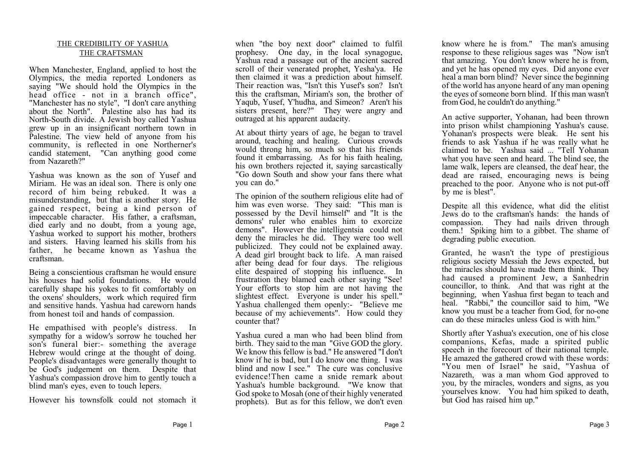## THE CREDIBILITY OF YASHUA THE CRAFTSMAN

When Manchester, England, applied to host the Olympics, the media reported Londoners as saying "We should hold the Olympics in the head office - not in a branch office", "Manchester has no style", "I don't care anything about the North". Palestine also has had its North-South divide. A Jewish boy called Yashua grew up in an insignificant northern town in Palestine. The view held of anyone from his community, is reflected in one Northerner's candid statement, "Can anything good come from Nazareth?"

Yashua was known as the son of Yusef and Miriam. He was an ideal son. There is only one record of him being rebuked. It was a misunderstanding, but that is another story. He gained respect, being a kind person of impeccable character. His father, a craftsman, died early and no doubt, from a young age, Yashua worked to support his mother, brothers and sisters. Having learned his skills from his father, he became known as Yashua the craftsman.

Being a conscientious craftsman he would ensure his houses had solid foundations. He would carefully shape his yokes to fit comfortably on the oxens' shoulders, work which required firm and sensitive hands. Yashua had careworn hands from honest toil and hands of compassion.

He empathised with people's distress. In sympathy for a widow's sorrow he touched her son's funeral bier:- something the average Hebrew would cringe at the thought of doing. People's disadvantages were generally thought to be God's judgement on them. Despite that Yashua's compassion drove him to gently touch a blind man's eyes, even to touch lepers.

However his townsfolk could not stomach it

when "the boy next door" claimed to fulfil prophesy. One day, in the local synagogue, Yashua read a passage out of the ancient sacred scroll of their venerated prophet, Yesha'ya. He then claimed it was a prediction about himself. Their reaction was, "Isn't this Yusef's son? Isn't this the craftsman, Miriam's son, the brother of Yaqub, Yusef, Y'hudha, and Simeon? Aren't his sisters present, here?" They were angry and outraged at his apparent audacity.

At about thirty years of age, he began to travel around, teaching and healing. Curious crowds would throng him, so much so that his friends found it embarrassing. As for his faith healing, his own brothers rejected it, saying sarcastically "Go down South and show your fans there what you can do."

The opinion of the southern religious elite had of him was even worse. They said: "This man is possessed by the Devil himself" and "It is the demons' ruler who enables him to exorcize demons". However the intelligentsia could not deny the miracles he did. They were too well publicized. They could not be explained away. A dead girl brought back to life. A man raised after being dead for four days. The religious elite despaired of stopping his influence. In frustration they blamed each other saying "See! Your efforts to stop him are not having the slightest effect. Everyone is under his spell." Yashua challenged them openly:- "Believe me because of my achievements". How could they counter that?

Yashua cured a man who had been blind from birth. They said to the man "Give GOD the glory. We know this fellow is bad." He answered "I don't know if he is bad, but I do know one thing. I was blind and now I see." The cure was conclusive evidence!Then came a snide remark about Yashua's humble background. "We know that God spoke to Mosah (one of their highly venerated prophets). But as for this fellow, we don't even

know where he is from." The man's amusing response to these religious sages was "Now isn't that amazing. You don't know where he is from, and yet he has opened my eyes. Did anyone ever heal a man born blind? Never since the beginning of the world has anyone heard of any man opening the eyes of someone born blind. If this man wasn't from God, he couldn't do anything."

An active supporter, Yohanan, had been thrown into prison whilst championing Yashua's cause. Yohanan's prospects were bleak. He sent his friends to ask Yashua if he was really what he claimed to be. Yashua said ... "Tell Yohanan what you have seen and heard. The blind see, the lame walk, lepers are cleansed, the deaf hear, the dead are raised, encouraging news is being preached to the poor. Anyone who is not put-off by me is blest".

Despite all this evidence, what did the elitist Jews do to the craftsman's hands: the hands of compassion. They had nails driven through them.! Spiking him to a gibbet. The shame of degrading public execution.

Granted, he wasn't the type of prestigious religious society Messiah the Jews expected, but the miracles should have made them think. They had caused a prominent Jew, a Sanhedrin councillor, to think. And that was right at the beginning, when Yashua first began to teach and heal. "Rabbi," the councillor said to him, "We know you must be a teacher from God, for no-one can do these miracles unless God is with him."

Shortly after Yashua's execution, one of his close companions, Kefas, made a spirited public speech in the forecourt of their national temple. He amazed the gathered crowd with these words: "You men of Israel" he said, "Yashua of Nazareth, was a man whom God approved to you, by the miracles, wonders and signs, as you yourselves know. You had him spiked to death, but God has raised him up."